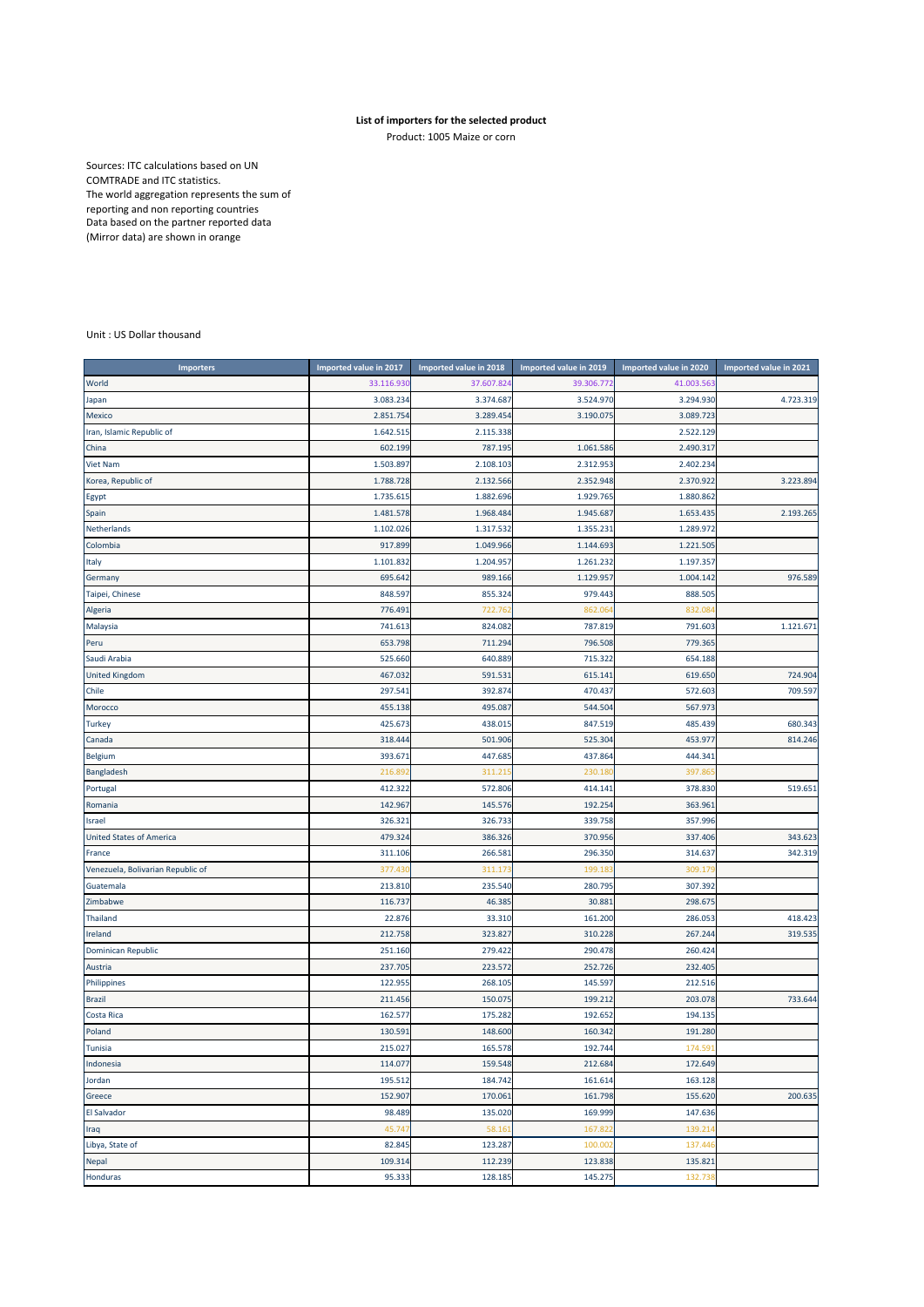## **List of importers for the selected product**

Product: 1005 Maize or corn

Sources: ITC calculations based on UN COMTRADE and ITC statistics. The world aggregation represents the sum of reporting and non reporting countries Data based on the partner reported data (Mirror data) are shown in orange

## Unit : US Dollar thousand

| <b>Importers</b>                  | Imported value in 2017 | Imported value in 2018 | Imported value in 2019 | Imported value in 2020 | Imported value in 2021 |
|-----------------------------------|------------------------|------------------------|------------------------|------------------------|------------------------|
| World                             | 33.116.93              | 37.607.82              | 39.306.772             | 41.003.56              |                        |
| Japan                             | 3.083.234              | 3.374.687              | 3.524.970              | 3.294.930              | 4.723.319              |
| Mexico                            | 2.851.754              | 3.289.454              | 3.190.075              | 3.089.723              |                        |
| Iran, Islamic Republic of         | 1.642.51               | 2.115.338              |                        | 2.522.129              |                        |
| China                             | 602.199                | 787.19                 | 1.061.586              | 2.490.317              |                        |
| <b>Viet Nam</b>                   | 1.503.897              | 2.108.103              | 2.312.953              | 2.402.234              |                        |
| Korea, Republic of                | 1.788.728              | 2.132.566              | 2.352.948              | 2.370.922              | 3.223.894              |
| Egypt                             | 1.735.615              | 1.882.696              | 1.929.765              | 1.880.862              |                        |
| Spain                             | 1.481.578              | 1.968.484              | 1.945.687              | 1.653.43               | 2.193.265              |
| Netherlands                       | 1.102.026              | 1.317.532              | 1.355.231              | 1.289.972              |                        |
| Colombia                          | 917.899                | 1.049.966              | 1.144.693              | 1.221.505              |                        |
| Italy                             | 1.101.832              | 1.204.957              | 1.261.232              | 1.197.357              |                        |
| Germany                           | 695.642                | 989.166                | 1.129.957              | 1.004.142              | 976.589                |
| Taipei, Chinese                   | 848.597                | 855.324                | 979.443                | 888.505                |                        |
| Algeria                           | 776.49:                | 722.76                 | 862.06                 | 832.08                 |                        |
| Malaysia                          | 741.613                | 824.082                | 787.819                | 791.603                | 1.121.671              |
| Peru                              | 653.798                | 711.294                | 796.508                | 779.365                |                        |
| Saudi Arabia                      | 525.660                | 640.889                | 715.322                | 654.188                |                        |
| <b>United Kingdom</b>             | 467.032                | 591.531                | 615.141                | 619.650                | 724.904                |
| Chile                             | 297.541                | 392.874                | 470.437                | 572.603                | 709.597                |
| Morocco                           | 455.138                | 495.087                | 544.504                | 567.973                |                        |
| Turkey                            | 425.673                | 438.015                | 847.519                | 485.439                | 680.343                |
| Canada                            | 318.444                | 501.906                | 525.304                | 453.97                 | 814.246                |
| Belgium                           | 393.671                | 447.685                | 437.864                | 444.341                |                        |
| Bangladesh                        | 216.89                 | 311.21                 | 230.18                 | 397.86                 |                        |
| Portugal                          | 412.322                | 572.806                | 414.141                | 378.830                | 519.651                |
| Romania                           | 142.967                | 145.576                | 192.254                | 363.96:                |                        |
| Israel                            | 326.32:                | 326.733                | 339.758                | 357.996                |                        |
| <b>United States of America</b>   | 479.324                | 386.326                | 370.956                | 337.406                | 343.623                |
| France                            | 311.106                | 266.58                 | 296.350                | 314.637                | 342.319                |
| Venezuela, Bolivarian Republic of | 377.43                 | 311.17                 | 199.18                 | 309.17                 |                        |
| Guatemala                         | 213.810                | 235.540                | 280.795                | 307.392                |                        |
| Zimbabwe                          | 116.737                | 46.385                 | 30.881                 | 298.675                |                        |
| <b>Thailand</b>                   | 22.876                 | 33.310                 | 161.200                | 286.053                | 418.423                |
| Ireland                           | 212.758                | 323.827                | 310.228                | 267.244                | 319.535                |
| Dominican Republic                | 251.160                | 279.422                | 290.478                | 260.424                |                        |
| Austria                           | 237.705                | 223.572                | 252.726                | 232.405                |                        |
| Philippines                       | 122.955                | 268.105                | 145.597                | 212.516                |                        |
| <b>Brazil</b>                     | 211.456                | 150.075                | 199.212                | 203.078                | 733.644                |
| Costa Rica                        | 162.577                | 175.282                | 192.652                | 194.135                |                        |
| Poland                            | 130.59                 | 148.600                | 160.342                | 191.280                |                        |
| Tunisia                           | 215.027                | 165.578                | 192.744                | 174.591                |                        |
| Indonesia                         | 114.077                | 159.548                | 212.684                | 172.649                |                        |
| Jordan                            | 195.512                | 184.742                | 161.614                | 163.128                |                        |
| Greece                            | 152.907                | 170.061                | 161.798                | 155.620                | 200.635                |
| <b>El Salvador</b>                | 98.489                 | 135.020                | 169.999                | 147.636                |                        |
| Iraq                              | 45.747                 | 58.16                  | 167.822                | 139.214                |                        |
| Libya, State of                   | 82.845                 | 123.287                | 100.002                | 137.446                |                        |
| Nepal                             | 109.314                | 112.239                | 123.838                | 135.821                |                        |
| Honduras                          | 95.333                 | 128.185                | 145.275                | 132.738                |                        |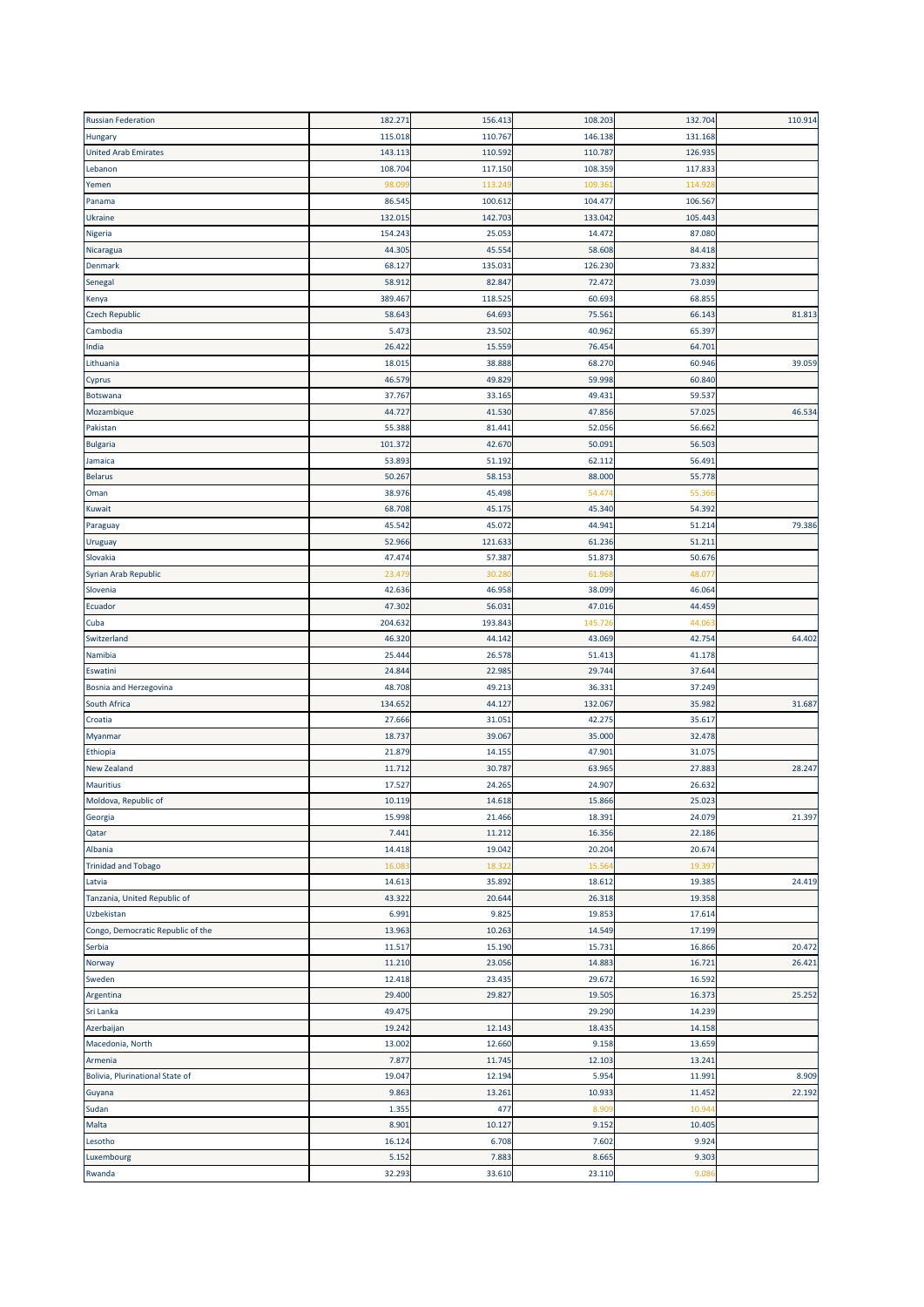| <b>Russian Federation</b>         | 182.271 | 156.413          | 108.203 | 132.704 | 110.914 |
|-----------------------------------|---------|------------------|---------|---------|---------|
| Hungary                           | 115.018 | 110.767          | 146.138 | 131.168 |         |
| <b>United Arab Emirates</b>       | 143.113 | 110.592          | 110.78  | 126.935 |         |
| Lebanon                           | 108.704 | 117.150          | 108.359 | 117.833 |         |
| Yemen                             | 98.09   | 113.24           | 109.36  | 114.92  |         |
| Panama                            | 86.545  | 100.612          | 104.477 | 106.567 |         |
| Ukraine                           | 132.015 | 142.703          | 133.042 | 105.443 |         |
| Nigeria                           | 154.243 | 25.053           | 14.472  | 87.080  |         |
| Nicaragua                         | 44.305  | 45.554           | 58.608  | 84.418  |         |
| Denmark                           | 68.127  | 135.031          | 126.230 | 73.832  |         |
| Senegal                           | 58.912  | 82.847           | 72.472  | 73.039  |         |
| Kenya                             | 389.467 | 118.525          | 60.693  | 68.855  |         |
| <b>Czech Republic</b>             | 58.643  | 64.693           | 75.56   | 66.143  | 81.813  |
| Cambodia                          | 5.473   | 23.502           | 40.962  | 65.397  |         |
|                                   | 26.422  | 15.559           | 76.454  | 64.701  |         |
| India                             | 18.015  |                  | 68.270  | 60.946  | 39.059  |
| Lithuania                         |         | 38.888<br>49.829 | 59.998  | 60.840  |         |
| Cyprus                            | 46.579  |                  |         |         |         |
| Botswana                          | 37.767  | 33.165           | 49.431  | 59.537  |         |
| Mozambique                        | 44.727  | 41.530           | 47.856  | 57.025  | 46.534  |
| Pakistan                          | 55.388  | 81.441           | 52.056  | 56.662  |         |
| Bulgaria                          | 101.372 | 42.670           | 50.091  | 56.503  |         |
| Jamaica                           | 53.893  | 51.192           | 62.112  | 56.491  |         |
| <b>Belarus</b>                    | 50.267  | 58.153           | 88.000  | 55.778  |         |
| Oman                              | 38.976  | 45.498           | 54.47   | 55.36   |         |
| Kuwait                            | 68.708  | 45.175           | 45.340  | 54.392  |         |
| Paraguay                          | 45.542  | 45.072           | 44.941  | 51.214  | 79.386  |
| Uruguay                           | 52.966  | 121.633          | 61.236  | 51.21   |         |
| Slovakia                          | 47.474  | 57.387           | 51.873  | 50.676  |         |
| Syrian Arab Republic              | 23.47   | 30.28            | 61.96   | 48.07   |         |
| Slovenia                          | 42.636  | 46.958           | 38.099  | 46.064  |         |
| Ecuador                           | 47.302  | 56.031           | 47.016  | 44.459  |         |
| Cuba                              | 204.632 | 193.843          | 145.72  | 44.06   |         |
| Switzerland                       | 46.320  | 44.142           | 43.069  | 42.754  | 64.402  |
| Namibia                           | 25.444  | 26.578           | 51.41   | 41.178  |         |
| Eswatini                          | 24.844  | 22.985           | 29.744  | 37.644  |         |
| Bosnia and Herzegovina            | 48.708  | 49.213           | 36.33   | 37.249  |         |
| South Africa                      | 134.652 | 44.127           | 132.067 | 35.982  | 31.687  |
| Croatia                           | 27.666  | 31.051           | 42.275  | 35.617  |         |
| Myanmar                           | 18.737  | 39.067           | 35.000  | 32.478  |         |
| Ethiopia                          | 21.879  | 14.155           | 47.901  | 31.075  |         |
| <b>New Zealand</b>                | 11.712  | 30.787           | 63.96   | 27.883  | 28.247  |
| <b>Mauritius</b>                  | 17.527  | 24.265           | 24.907  | 26.632  |         |
| Moldova, Republic of              | 10.119  | 14.618           | 15.866  | 25.023  |         |
| Georgia                           | 15.998  | 21.466           | 18.391  | 24.079  | 21.397  |
| Qatar                             | 7.441   | 11.212           | 16.356  | 22.186  |         |
| Albania                           | 14.418  | 19.042           | 20.204  | 20.674  |         |
| <b>Trinidad and Tobago</b>        | 16.083  | 18.32            | 15.56   | 19.397  |         |
| Latvia                            | 14.613  | 35.892           | 18.612  | 19.385  | 24.419  |
| Tanzania, United Republic of      | 43.322  | 20.644           | 26.318  | 19.358  |         |
| Uzbekistan                        | 6.991   | 9.825            | 19.853  | 17.614  |         |
|                                   |         |                  |         |         |         |
| Congo, Democratic Republic of the | 13.963  | 10.263           | 14.549  | 17.199  |         |
| Serbia                            | 11.517  | 15.190           | 15.731  | 16.866  | 20.472  |
| Norway                            | 11.210  | 23.056           | 14.883  | 16.721  | 26.421  |
| Sweden                            | 12.418  | 23.435           | 29.672  | 16.592  |         |
| Argentina                         | 29.400  | 29.827           | 19.505  | 16.373  | 25.252  |
| Sri Lanka                         | 49.475  |                  | 29.290  | 14.239  |         |
| Azerbaijan                        | 19.242  | 12.143           | 18.435  | 14.158  |         |
| Macedonia, North                  | 13.002  | 12.660           | 9.158   | 13.659  |         |
| Armenia                           | 7.877   | 11.745           | 12.103  | 13.241  |         |
| Bolivia, Plurinational State of   | 19.047  | 12.194           | 5.954   | 11.991  | 8.909   |
| Guyana                            | 9.863   | 13.261           | 10.933  | 11.452  | 22.192  |
| Sudan                             | 1.355   | 477              | 8.90    | 10.94   |         |
| Malta                             | 8.901   | 10.127           | 9.152   | 10.405  |         |
| Lesotho                           | 16.124  | 6.708            | 7.602   | 9.924   |         |
| Luxembourg                        | 5.152   | 7.883            | 8.665   | 9.303   |         |
| Rwanda                            | 32.293  | 33.610           | 23.110  | 9.086   |         |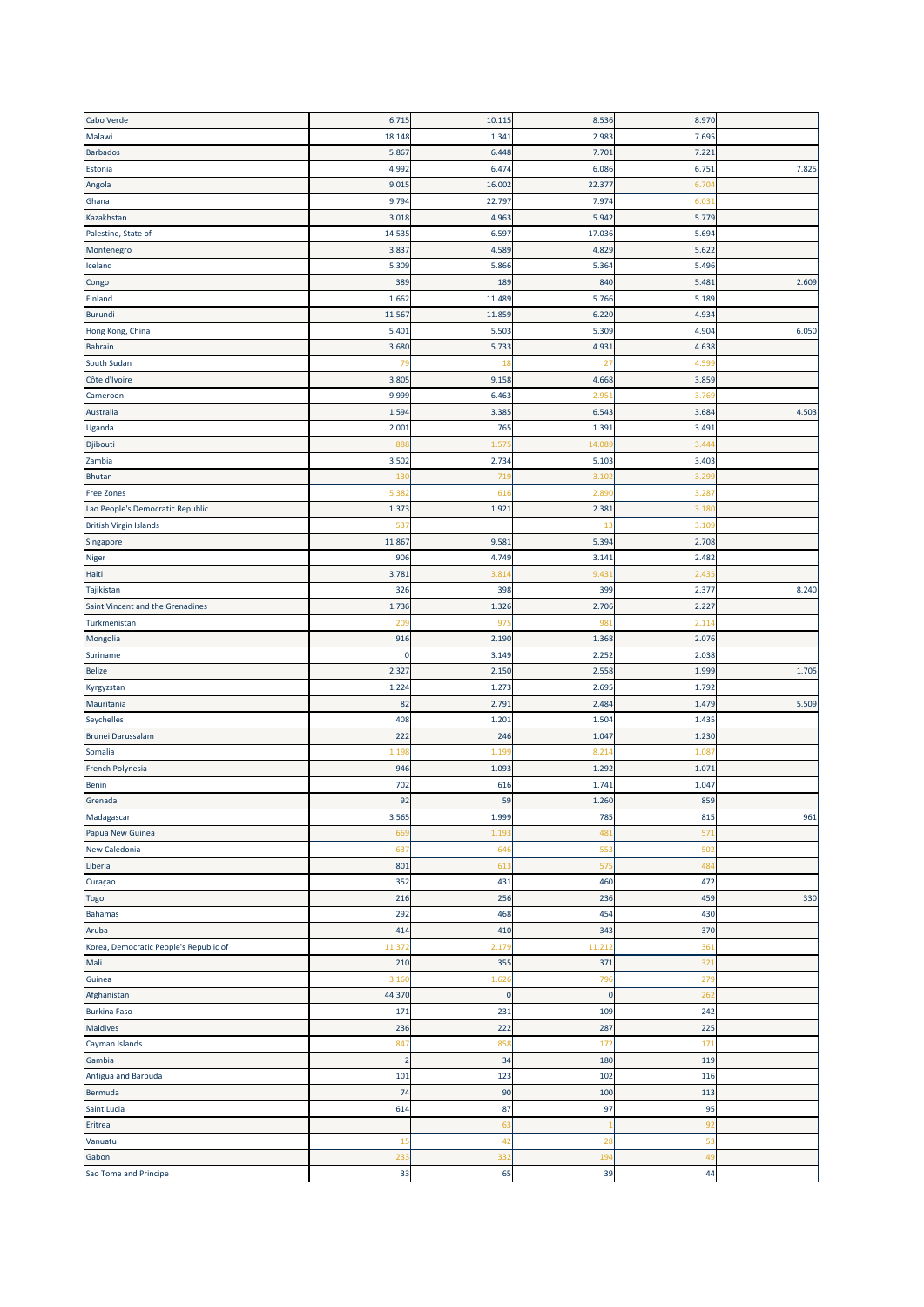| Cabo Verde                                     | 6.715          | 10.115            | 8.536       | 8.970           |       |
|------------------------------------------------|----------------|-------------------|-------------|-----------------|-------|
| Malawi                                         | 18.148         | 1.341             | 2.983       | 7.695           |       |
| <b>Barbados</b>                                | 5.867          | 6.448             | 7.701       | 7.221           |       |
| Estonia                                        | 4.992          | 6.474             | 6.086       | 6.751           | 7.825 |
| Angola                                         | 9.015          | 16.002            | 22.377      | 6.70            |       |
| Ghana                                          | 9.794          | 22.797            | 7.974       | 6.03            |       |
|                                                |                |                   |             |                 |       |
| Kazakhstan                                     | 3.018          | 4.963             | 5.942       | 5.779           |       |
| Palestine, State of                            | 14.535         | 6.597             | 17.036      | 5.694           |       |
| Montenegro                                     | 3.837          | 4.589             | 4.829       | 5.622           |       |
| Iceland                                        | 5.309          | 5.866             | 5.364       | 5.496           |       |
| Congo                                          | 389            | 189               | 840         | 5.48            | 2.609 |
| Finland                                        | 1.662          | 11.489            | 5.766       | 5.189           |       |
| <b>Burundi</b>                                 | 11.567         | 11.859            | 6.220       | 4.934           |       |
| Hong Kong, China                               | 5.401          | 5.50              | 5.309       | 4.904           | 6.050 |
| <b>Bahrain</b>                                 | 3.680          | 5.733             | 4.931       | 4.638           |       |
| South Sudan                                    | 79             | 18                | 27          | 4.59            |       |
| Côte d'Ivoire                                  | 3.805          | 9.158             | 4.668       | 3.859           |       |
| Cameroon                                       | 9.999          | 6.463             | 2.95        | 3.76            |       |
| Australia                                      | 1.594          | 3.385             | 6.543       | 3.684           | 4.503 |
| Uganda                                         | 2.001          | 765               | 1.391       | 3.491           |       |
| Djibouti                                       | 888            | 1.57              | 14.08       | 3.44            |       |
| Zambia                                         | 3.502          | 2.734             | 5.103       | 3.403           |       |
| Bhutan                                         | 130            | 719               | 3.102       | 3.29            |       |
|                                                | 5.38           | 616               | 2.89        | 3.28            |       |
| Free Zones<br>Lao People's Democratic Republic |                |                   |             |                 |       |
|                                                | 1.373          | 1.921             | 2.381       | 3.18            |       |
| <b>British Virgin Islands</b>                  | 537            |                   | 13          | 3.10            |       |
| Singapore                                      | 11.867         | 9.581             | 5.394       | 2.708           |       |
| Niger                                          | 906            | 4.749             | 3.141       | 2.482           |       |
| Haiti                                          | 3.781          | 3.81              | 9.431       | 2.43            |       |
| Tajikistan                                     | 326            | 398               | 399         | 2.377           | 8.240 |
| Saint Vincent and the Grenadines               | 1.736          | 1.326             | 2.706       | 2.22            |       |
| Turkmenistan                                   | 20             | 97                | 98          | 2.11            |       |
| Mongolia                                       | 916            | 2.190             | 1.368       | 2.076           |       |
| Suriname                                       | 0              | 3.149             | 2.252       | 2.038           |       |
| <b>Belize</b>                                  | 2.327          | 2.150             | 2.558       | 1.999           | 1.705 |
| Kyrgyzstan                                     | 1.224          | 1.273             | 2.695       | 1.792           |       |
| Mauritania                                     | 82             | 2.79 <sub>2</sub> | 2.484       | 1.479           | 5.509 |
| Seychelles                                     | 408            | 1.201             | 1.504       | 1.43            |       |
| <b>Brunei Darussalam</b>                       | 222            | 246               | 1.047       | 1.230           |       |
| Somalia                                        | 1.191          | 1.19              | 8.21        | 1.08            |       |
|                                                |                |                   |             |                 |       |
| French Polynesia                               | 946            | 1.09              | 1.292       | 1.07            |       |
| Benin                                          | 702            | 616               | 1.741       | 1.047           |       |
| Grenada                                        | 92             | 59                | 1.260       | 859             |       |
| Madagascar                                     | 3.565          | 1.999             | 785         | 815             | 961   |
| Papua New Guinea                               | 669            | 1.19              | 481         | 57              |       |
| New Caledonia                                  | 637            | 646               | 553         | 502             |       |
| Liberia                                        | 801            | 613               | 575         | 484             |       |
| Curaçao                                        | 352            | 431               | 460         | 472             |       |
| Togo                                           | 216            | 256               | 236         | 459             | 330   |
| <b>Bahamas</b>                                 | 292            | 468               | 454         | 430             |       |
| Aruba                                          | 414            | 410               | 343         | 370             |       |
| Korea, Democratic People's Republic of         | 11.372         | 2.179             | 11.212      | 36 <sub>2</sub> |       |
| Mali                                           | 210            | 355               | 371         | 32 <sub>2</sub> |       |
| Guinea                                         | 3.160          | 1.626             | 796         | 279             |       |
| Afghanistan                                    | 44.370         | $\pmb{0}$         | $\mathbf 0$ | 262             |       |
| <b>Burkina Faso</b>                            | 171            | 231               | 109         | 242             |       |
| Maldives                                       | 236            | 222               | 287         | 225             |       |
|                                                |                |                   |             |                 |       |
| Cayman Islands                                 | 847            | 858               | 172         | 171             |       |
| Gambia                                         | $\overline{2}$ | 34                | 180         | 119             |       |
| Antigua and Barbuda                            | 101            | 123               | 102         | 116             |       |
| Bermuda                                        | 74             | 90                | 100         | 113             |       |
| Saint Lucia                                    | 614            | 87                | 97          | 95              |       |
| Eritrea                                        |                | 63                |             | 92              |       |
| Vanuatu                                        | 15             | 42                | 28          | 53              |       |
| Gabon                                          | 233            | 332               | 194         | 49              |       |
| Sao Tome and Principe                          | 33             | 65                | 39          | 44              |       |